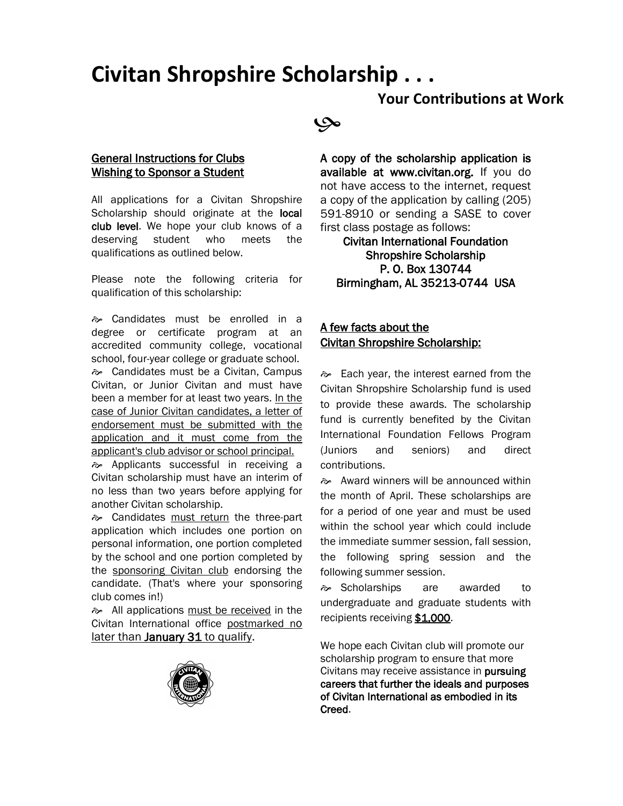# **Civitan Shropshire Scholarship . . .**

## **Your Contributions at Work**

## عي

#### General Instructions for Clubs **Wishing to Sponsor a Student**

All applications for a Civitan Shropshire Scholarship should originate at the local club level. We hope your club knows of a deserving student who meets the qualifications as outlined below.

Please note the following criteria for qualification of this scholarship:

 Candidates must be enrolled in a degree or certificate program at an accredited community college, vocational school, four-year college or graduate school. Candidates must be a Civitan, Campus Civitan, or Junior Civitan and must have been a member for at least two years. In the case of Junior Civitan candidates, a letter of endorsement must be submitted with the application and it must come from the applicant's club advisor or school principal.

Applicants successful in receiving a Civitan scholarship must have an interim of no less than two years before applying for another Civitan scholarship.

**i** Candidates must return the three-part application which includes one portion on personal information, one portion completed by the school and one portion completed by the sponsoring Civitan club endorsing the candidate. (That's where your sponsoring club comes in!)

All applications must be received in the Civitan International office postmarked no later than January 31 to qualify.



A copy of the scholarship application is available at www.civitan.org. If you do not have access to the internet, request a copy of the application by calling (205) 591-8910 or sending a SASE to cover first class postage as follows:

Civitan International Foundation Shropshire Scholarship P. O. Box 130744 Birmingham, AL 35213-0744 USA

### A few facts about the Civitan Shropshire Scholarship:

 $\approx$  Each year, the interest earned from the Civitan Shropshire Scholarship fund is used to provide these awards. The scholarship fund is currently benefited by the Civitan International Foundation Fellows Program (Juniors and seniors) and direct contributions.

Award winners will be announced within the month of April. These scholarships are for a period of one year and must be used within the school year which could include the immediate summer session, fall session, the following spring session and the following summer session.

 Scholarships are awarded to undergraduate and graduate students with recipients receiving \$1,000.

We hope each Civitan club will promote our scholarship program to ensure that more Civitans may receive assistance in pursuing careers that further the ideals and purposes of Civitan International as embodied in its Creed.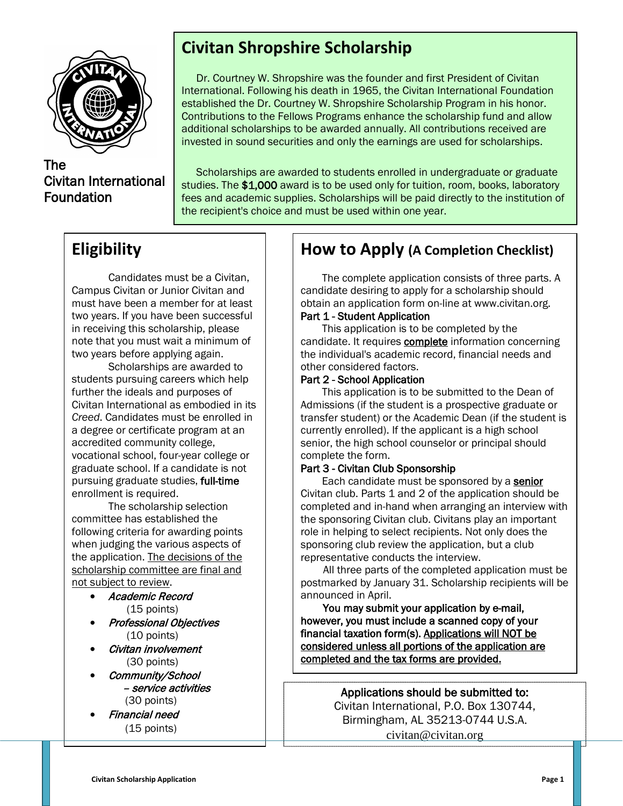

## The Civitan International Foundation

# **Civitan Shropshire Scholarship**

Dr. Courtney W. Shropshire was the founder and first President of Civitan International. Following his death in 1965, the Civitan International Foundation established the Dr. Courtney W. Shropshire Scholarship Program in his honor. Contributions to the Fellows Programs enhance the scholarship fund and allow additional scholarships to be awarded annually. All contributions received are invested in sound securities and only the earnings are used for scholarships.

Scholarships are awarded to students enrolled in undergraduate or graduate studies. The \$1,000 award is to be used only for tuition, room, books, laboratory fees and academic supplies. Scholarships will be paid directly to the institution of the recipient's choice and must be used within one year.

## **Eligibility**

Candidates must be a Civitan, Campus Civitan or Junior Civitan and must have been a member for at least two years. If you have been successful in receiving this scholarship, please note that you must wait a minimum of two years before applying again.

Scholarships are awarded to students pursuing careers which help further the ideals and purposes of Civitan International as embodied in its *Creed*. Candidates must be enrolled in a degree or certificate program at an accredited community college, vocational school, four-year college or graduate school. If a candidate is not pursuing graduate studies, full-time enrollment is required.

The scholarship selection committee has established the following criteria for awarding points when judging the various aspects of the application. The decisions of the scholarship committee are final and not subject to review.

- Academic Record (15 points)
- Professional Objectives (10 points)
- Civitan involvement (30 points)
- Community/School – service activities (30 points)

• Financial need (15 points)

## **How to Apply (A Completion Checklist)**

 The complete application consists of three parts. A candidate desiring to apply for a scholarship should obtain an application form on-line at www.civitan.org.

### Part 1 - Student Application

This application is to be completed by the candidate. It requires **complete** information concerning the individual's academic record, financial needs and other considered factors.

#### Part 2 - School Application

This application is to be submitted to the Dean of Admissions (if the student is a prospective graduate or transfer student) or the Academic Dean (if the student is currently enrolled). If the applicant is a high school senior, the high school counselor or principal should complete the form.

#### Part 3 - Civitan Club Sponsorship

Each candidate must be sponsored by a senior Civitan club. Parts 1 and 2 of the application should be completed and in-hand when arranging an interview with the sponsoring Civitan club. Civitans play an important role in helping to select recipients. Not only does the sponsoring club review the application, but a club representative conducts the interview.

 All three parts of the completed application must be postmarked by January 31. Scholarship recipients will be announced in April.

 You may submit your application by e-mail, however, you must include a scanned copy of your financial taxation form(s). Applications will NOT be considered unless all portions of the application are completed and the tax forms are provided.

> Applications should be submitted to: Civitan International, P.O. Box 130744, Birmingham, AL 35213-0744 U.S.A. civitan@civitan.org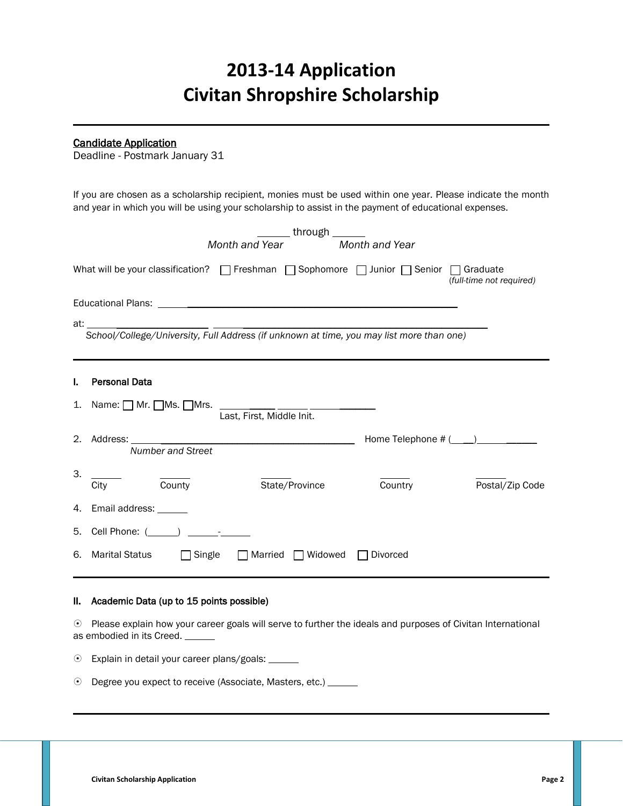# **2013-14 Application Civitan Shropshire Scholarship**

#### ٦ Candidate Application

Deadline - Postmark January 31

If you are chosen as a scholarship recipient, monies must be used within one year. Please indicate the month and year in which you will be using your scholarship to assist in the payment of educational expenses.

|         | through ______<br>Month and Year<br>Month and Year                                                                                                                                                     |
|---------|--------------------------------------------------------------------------------------------------------------------------------------------------------------------------------------------------------|
|         | What will be your classification? $\Box$ Freshman $\Box$ Sophomore $\Box$ Junior $\Box$ Senior $\Box$ Graduate<br>(full-time not required)                                                             |
|         |                                                                                                                                                                                                        |
|         | School/College/University, Full Address (if unknown at time, you may list more than one)<br>at: ____ __                                                                                                |
|         |                                                                                                                                                                                                        |
| ı.      | <b>Personal Data</b>                                                                                                                                                                                   |
| 1.      | Name: $\Box$ Mr. $\Box$ Ms. $\Box$ Mrs.<br>Last, First, Middle Init.                                                                                                                                   |
|         | <u> 1980 - Johann Barn, mars ann an t-Amhain an t-Amhain ann an t-Amhain an t-Amhain an t-Amhain an t-Amhain an t-</u><br>Home Telephone # (____)________<br>2. Address: _<br><b>Number and Street</b> |
| З.      | $\frac{1}{\text{Country}}$<br>City<br>State/Province<br>Country<br>Postal/Zip Code                                                                                                                     |
|         | 4. Email address: ______                                                                                                                                                                               |
| 5.      |                                                                                                                                                                                                        |
| 6.      | <b>Marital Status</b><br>$\Box$ Married $\Box$ Widowed<br>$\Box$ Single<br>Divorced                                                                                                                    |
| II.     | Academic Data (up to 15 points possible)                                                                                                                                                               |
|         | ⊙ Please explain how your career goals will serve to further the ideals and purposes of Civitan International<br>as embodied in its Creed. ______                                                      |
| $\odot$ | Explain in detail your career plans/goals: ______                                                                                                                                                      |
| $\odot$ | Degree you expect to receive (Associate, Masters, etc.) ____                                                                                                                                           |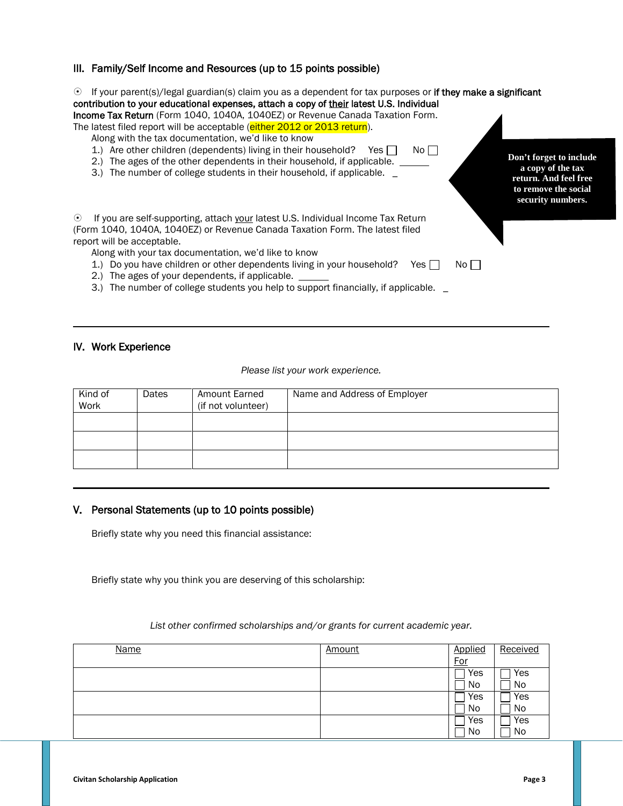#### III. Family/Self Income and Resources (up to 15 points possible)

 If your parent(s)/legal guardian(s) claim you as a dependent for tax purposes or if they make a significant contribution to your educational expenses, attach a copy of their latest U.S. Individual Income Tax Return (Form 1040, 1040A, 1040EZ) or Revenue Canada Taxation Form. The latest filed report will be acceptable (either 2012 or 2013 return). Along with the tax documentation, we'd like to know 1.) Are other children (dependents) living in their household? Yes  $\Box$  No  $\Box$ 2.) The ages of the other dependents in their household, if applicable. 3.) The number of college students in their household, if applicable. \_ If you are self-supporting, attach your latest U.S. Individual Income Tax Return (Form 1040, 1040A, 1040EZ) or Revenue Canada Taxation Form. The latest filed report will be acceptable. Along with your tax documentation, we'd like to know 1.) Do you have children or other dependents living in your household? Yes  $\Box$  No  $\Box$ 2.) The ages of your dependents, if applicable. 3.) The number of college students you help to support financially, if applicable. **Don't forget to include a copy of the tax return. And feel free to remove the social security numbers.**

#### IV. Work Experience

#### *Please list your work experience.*

| Kind of<br>Work | Dates | Amount Earned<br>(if not volunteer) | Name and Address of Employer |
|-----------------|-------|-------------------------------------|------------------------------|
|                 |       |                                     |                              |
|                 |       |                                     |                              |
|                 |       |                                     |                              |

#### V. Personal Statements (up to 10 points possible)

Briefly state why you need this financial assistance:

Briefly state why you think you are deserving of this scholarship:

#### *List other confirmed scholarships and/or grants for current academic year.*

| <b>Name</b> | <b>Amount</b> | Applied    | Received |
|-------------|---------------|------------|----------|
|             |               | <b>For</b> |          |
|             |               | Yes        | Yes      |
|             |               | No         | No       |
|             |               | Yes        | Yes      |
|             |               | No         | No       |
|             |               | Yes        | Yes      |
|             |               | No         | No       |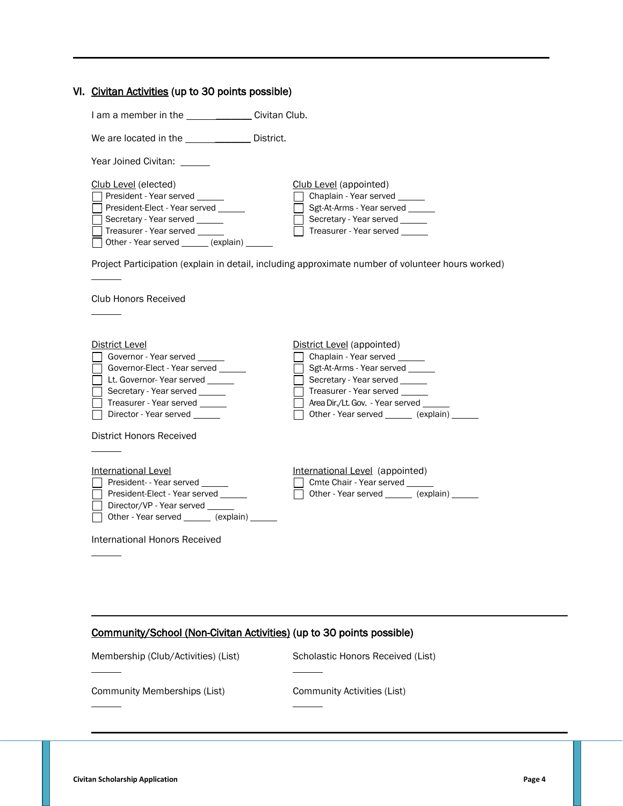|  |  |  |  |  |  | VI. Civitan Activities (up to 30 points possible) |
|--|--|--|--|--|--|---------------------------------------------------|
|--|--|--|--|--|--|---------------------------------------------------|

I am a member in the \_\_\_\_\_\_\_\_\_\_\_\_\_\_\_\_\_\_ Civitan Club.

We are located in the \_\_\_\_\_\_\_\_\_\_\_\_\_\_\_ District.

Year Joined Civitan: \_\_\_\_\_

| Club Level (elected)                                       | Club Level (appointed)         |
|------------------------------------------------------------|--------------------------------|
| <b>President - Year served</b>                             | Chaplain - Year served         |
| <b>President-Elect - Year served</b>                       | Sgt-At-Arms - Year served      |
| Secretary - Year served                                    | Secretary - Year served        |
| Treasurer - Year served                                    | Treasurer - Year served ______ |
| $\Box$ Other - Year served $\_\_\_\_\$ (explain) $\_\_\_\$ |                                |

Project Participation (explain in detail, including approximate number of volunteer hours worked)

Club Honors Received

 $\overline{a}$ 

 $\overline{a}$ 

 $\overline{a}$ 

 $\overline{a}$ 

 $\overline{a}$ 

| District Level                                                                                                                                                      | District Level (appointed)                                                                                                                                                                      |
|---------------------------------------------------------------------------------------------------------------------------------------------------------------------|-------------------------------------------------------------------------------------------------------------------------------------------------------------------------------------------------|
| Governor - Year served<br>Governor-Elect - Year served<br>Lt. Governor- Year served<br>Secretary - Year served<br>Treasurer - Year served<br>Director - Year served | Chaplain - Year served<br>Sgt-At-Arms - Year served<br>Secretary - Year served<br>Treasurer - Year served<br>Area Dir./Lt. Gov. - Year served<br>Other - Year served ________ (explain) _______ |
| District Honors Received                                                                                                                                            |                                                                                                                                                                                                 |
| International Level<br>President- - Year served<br>President-Elect - Year served<br>Director/VP - Year served<br>Other - Year served ________ (explain) _______     | International Level (appointed)<br>Cmte Chair - Year served<br>Other - Year served (explain)                                                                                                    |
| International Honors Received                                                                                                                                       |                                                                                                                                                                                                 |

| Community/School (Non-Civitan Activities) (up to 30 points possible) |  |  |  |
|----------------------------------------------------------------------|--|--|--|
|                                                                      |  |  |  |

Membership (Club/Activities) (List) Scholastic Honors Received (List)  $\overline{a}$ Community Memberships (List) Community Activities (List)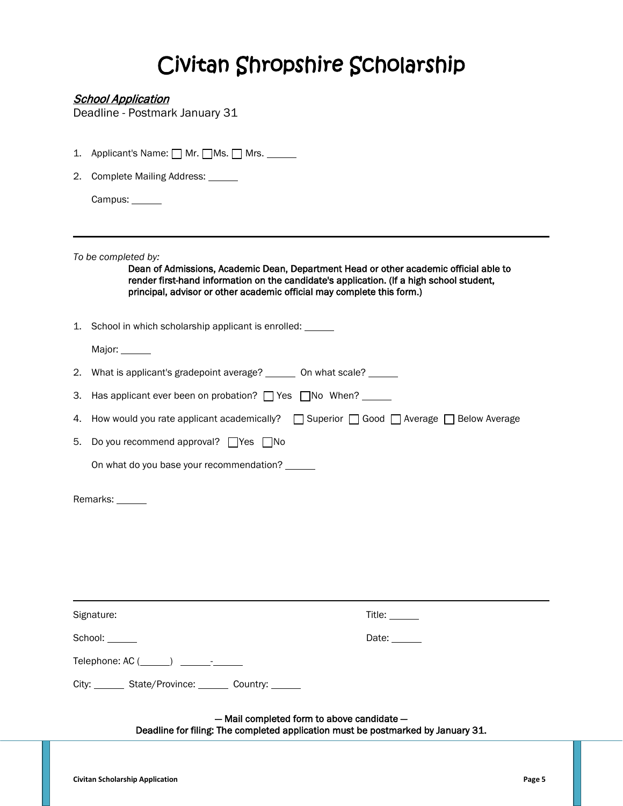# Civitan Shropshire Scholarship

### **School Application**

Deadline - Postmark January 31

| 1. | Applicant's Name: <u>□</u> Mr. □ Ms. □ Mrs. <u>■</u>                                                                                                                                                                                                                               |  |  |  |  |
|----|------------------------------------------------------------------------------------------------------------------------------------------------------------------------------------------------------------------------------------------------------------------------------------|--|--|--|--|
| 2. | Complete Mailing Address: ______                                                                                                                                                                                                                                                   |  |  |  |  |
|    | Campus: ______                                                                                                                                                                                                                                                                     |  |  |  |  |
|    | To be completed by:<br>Dean of Admissions, Academic Dean, Department Head or other academic official able to<br>render first-hand information on the candidate's application. (If a high school student,<br>principal, advisor or other academic official may complete this form.) |  |  |  |  |
|    | 1. School in which scholarship applicant is enrolled: _____                                                                                                                                                                                                                        |  |  |  |  |
|    | Major: ______                                                                                                                                                                                                                                                                      |  |  |  |  |
|    | 2. What is applicant's gradepoint average? _______ On what scale? ______                                                                                                                                                                                                           |  |  |  |  |
| З. | Has applicant ever been on probation? The State Tho When?                                                                                                                                                                                                                          |  |  |  |  |
| 4. | How would you rate applicant academically? $\Box$ Superior $\Box$ Good $\Box$ Average $\Box$ Below Average                                                                                                                                                                         |  |  |  |  |
| 5. | Do you recommend approval? $\Box$ Yes $\Box$ No                                                                                                                                                                                                                                    |  |  |  |  |
|    | On what do you base your recommendation? ______                                                                                                                                                                                                                                    |  |  |  |  |
|    | Remarks: ______                                                                                                                                                                                                                                                                    |  |  |  |  |
|    | Signature:<br>Title: ______                                                                                                                                                                                                                                                        |  |  |  |  |
|    | School:<br>Date: ______                                                                                                                                                                                                                                                            |  |  |  |  |
|    |                                                                                                                                                                                                                                                                                    |  |  |  |  |
|    | City: _______ State/Province: _______ Country: ______                                                                                                                                                                                                                              |  |  |  |  |
|    | - Mail completed form to above candidate -                                                                                                                                                                                                                                         |  |  |  |  |

Deadline for filing: The completed application must be postmarked by January 31.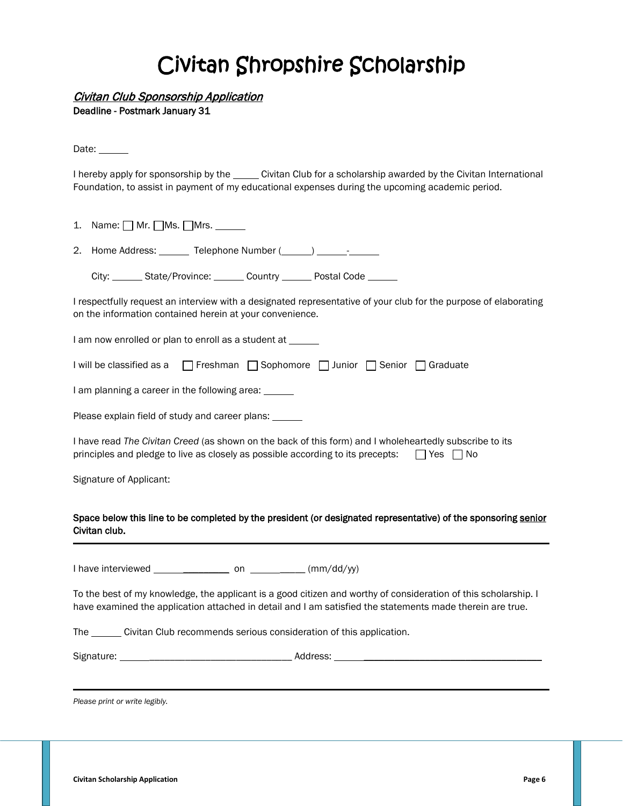# Civitan Shropshire Scholarship

Civitan Club Sponsorship Application

Deadline - Postmark January 31

Date:

I hereby apply for sponsorship by the \_\_\_\_\_ Civitan Club for a scholarship awarded by the Civitan International Foundation, to assist in payment of my educational expenses during the upcoming academic period.

1. Name:  $\Box$  Mr.  $\Box$  Ms.  $\Box$  Mrs.  $\_\_\_\_\_\_\_\_\_\$ 2. Home Address:  $\frac{1}{\sqrt{1-\frac{1}{2}}}\$  Telephone Number  $(\frac{1}{\sqrt{1-\frac{1}{2}}}\)$   $\frac{1}{\sqrt{1-\frac{1}{2}}}\$ 

City: State/Province: Country Postal Code

I respectfully request an interview with a designated representative of your club for the purpose of elaborating on the information contained herein at your convenience.

I am now enrolled or plan to enroll as a student at \_\_\_\_\_\_

| I will be classified as a Freshman Sophomore J Junior Senior Graduate |  |  |  |  |  |
|-----------------------------------------------------------------------|--|--|--|--|--|
|-----------------------------------------------------------------------|--|--|--|--|--|

I am planning a career in the following area:

Please explain field of study and career plans:

I have read *The Civitan Creed* (as shown on the back of this form) and I wholeheartedly subscribe to its principles and pledge to live as closely as possible according to its precepts:  $\Box$  Yes  $\Box$  No

Signature of Applicant:

#### Space below this line to be completed by the president (or designated representative) of the sponsoring senior Civitan club.

I have interviewed  $\frac{1}{\sqrt{2\pi}}$  on  $\frac{1}{\sqrt{2\pi}}$  (mm/dd/yy)

To the best of my knowledge, the applicant is a good citizen and worthy of consideration of this scholarship. I have examined the application attached in detail and I am satisfied the statements made therein are true.

The \_\_\_\_\_\_\_ Civitan Club recommends serious consideration of this application.

| Signature: | <b>TUTES</b> |
|------------|--------------|
|            |              |

*Please print or write legibly.*